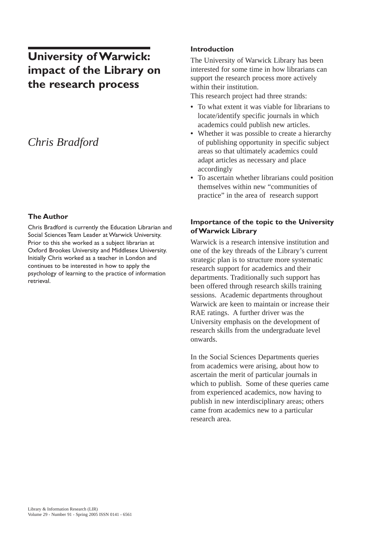# **University of Warwick: impact of the Library on the research process**

# *Chris Bradford*

#### **The Author**

Chris Bradford is currently the Education Librarian and Social Sciences Team Leader at Warwick University. Prior to this she worked as a subject librarian at Oxford Brookes University and Middlesex University. Initially Chris worked as a teacher in London and continues to be interested in how to apply the psychology of learning to the practice of information retrieval.

## **Introduction**

The University of Warwick Library has been interested for some time in how librarians can support the research process more actively within their institution.

This research project had three strands:

- **•** To what extent it was viable for librarians to locate/identify specific journals in which academics could publish new articles.
- **•** Whether it was possible to create a hierarchy of publishing opportunity in specific subject areas so that ultimately academics could adapt articles as necessary and place accordingly
- **•** To ascertain whether librarians could position themselves within new "communities of practice" in the area of research support

## **Importance of the topic to the University of Warwick Library**

Warwick is a research intensive institution and one of the key threads of the Library's current strategic plan is to structure more systematic research support for academics and their departments. Traditionally such support has been offered through research skills training sessions. Academic departments throughout Warwick are keen to maintain or increase their RAE ratings. A further driver was the University emphasis on the development of research skills from the undergraduate level onwards.

In the Social Sciences Departments queries from academics were arising, about how to ascertain the merit of particular journals in which to publish. Some of these queries came from experienced academics, now having to publish in new interdisciplinary areas; others came from academics new to a particular research area.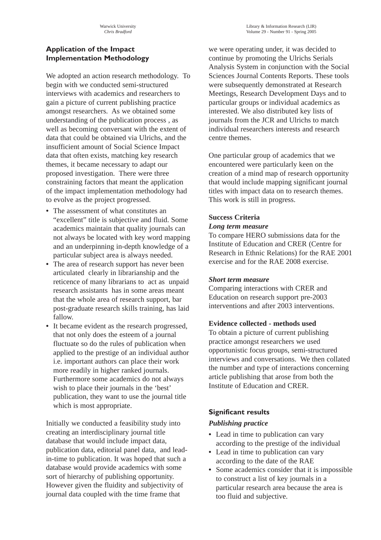## **Application of the Impact Implementation Methodology**

We adopted an action research methodology. To begin with we conducted semi-structured interviews with academics and researchers to gain a picture of current publishing practice amongst researchers. As we obtained some understanding of the publication process , as well as becoming conversant with the extent of data that could be obtained via Ulrichs, and the insufficient amount of Social Science Impact data that often exists, matching key research themes, it became necessary to adapt our proposed investigation. There were three constraining factors that meant the application of the impact implementation methodology had to evolve as the project progressed.

- **•** The assessment of what constitutes an "excellent" title is subjective and fluid. Some academics maintain that quality journals can not always be located with key word mapping and an underpinning in-depth knowledge of a particular subject area is always needed.
- **•** The area of research support has never been articulated clearly in librarianship and the reticence of many librarians to act as unpaid research assistants has in some areas meant that the whole area of research support, bar post-graduate research skills training, has laid fallow.
- **•** It became evident as the research progressed, that not only does the esteem of a journal fluctuate so do the rules of publication when applied to the prestige of an individual author i.e. important authors can place their work more readily in higher ranked journals. Furthermore some academics do not always wish to place their journals in the 'best' publication, they want to use the journal title which is most appropriate.

Initially we conducted a feasibility study into creating an interdisciplinary journal title database that would include impact data, publication data, editorial panel data, and leadin-time to publication. It was hoped that such a database would provide academics with some sort of hierarchy of publishing opportunity. However given the fluidity and subjectivity of journal data coupled with the time frame that

we were operating under, it was decided to continue by promoting the Ulrichs Serials Analysis System in conjunction with the Social Sciences Journal Contents Reports. These tools were subsequently demonstrated at Research Meetings, Research Development Days and to particular groups or individual academics as interested. We also distributed key lists of journals from the JCR and Ulrichs to match individual researchers interests and research centre themes.

One particular group of academics that we encountered were particularly keen on the creation of a mind map of research opportunity that would include mapping significant journal titles with impact data on to research themes. This work is still in progress.

## **Success Criteria**

#### *Long term measure*

To compare HERO submissions data for the Institute of Education and CRER (Centre for Research in Ethnic Relations) for the RAE 2001 exercise and for the RAE 2008 exercise.

## *Short term measure*

Comparing interactions with CRER and Education on research support pre-2003 interventions and after 2003 interventions.

## **Evidence collected - methods used**

To obtain a picture of current publishing practice amongst researchers we used opportunistic focus groups, semi-structured interviews and conversations. We then collated the number and type of interactions concerning article publishing that arose from both the Institute of Education and CRER.

# **Significant results**

## *Publishing practice*

- **•** Lead in time to publication can vary according to the prestige of the individual
- **•** Lead in time to publication can vary according to the date of the RAE
- **•** Some academics consider that it is impossible to construct a list of key journals in a particular research area because the area is too fluid and subjective.